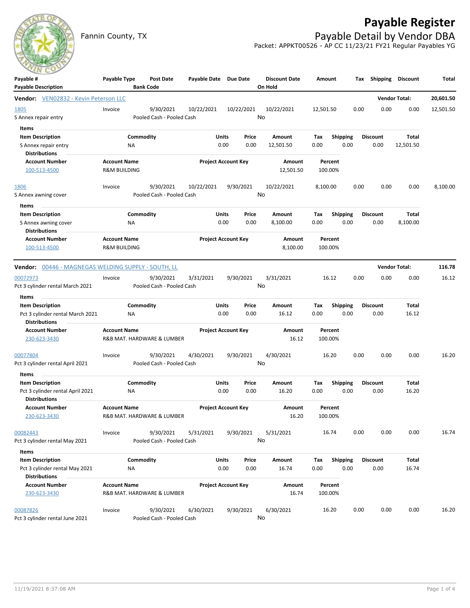## **Payable Register**



Fannin County, TX **Payable Detail by Vendor DBA** Packet: APPKT00526 - AP CC 11/23/21 FY21 Regular Payables YG

| Payable #                                           | Payable Type                                   | Post Date                  | Payable Date Due Date |                            |       | <b>Discount Date</b> | Amount             |                 |      | Tax Shipping    | <b>Discount</b>      | Total     |
|-----------------------------------------------------|------------------------------------------------|----------------------------|-----------------------|----------------------------|-------|----------------------|--------------------|-----------------|------|-----------------|----------------------|-----------|
| <b>Payable Description</b>                          |                                                | <b>Bank Code</b>           |                       |                            |       | On Hold              |                    |                 |      |                 |                      |           |
| Vendor: VEN02832 - Kevin Peterson LLC               |                                                |                            |                       |                            |       |                      |                    |                 |      |                 | <b>Vendor Total:</b> | 20,601.50 |
| 1805                                                | Invoice                                        | 9/30/2021                  | 10/22/2021            | 10/22/2021                 |       | 10/22/2021           | 12,501.50          |                 | 0.00 | 0.00            | 0.00                 | 12,501.50 |
| S Annex repair entry                                |                                                | Pooled Cash - Pooled Cash  |                       |                            |       | No                   |                    |                 |      |                 |                      |           |
| Items                                               |                                                |                            |                       |                            |       |                      |                    |                 |      |                 |                      |           |
| <b>Item Description</b>                             |                                                | Commodity                  |                       | Units                      | Price | Amount               | Tax                | Shipping        |      | <b>Discount</b> | Total                |           |
| S Annex repair entry                                | ΝA                                             |                            |                       | 0.00                       | 0.00  | 12,501.50            | 0.00               | 0.00            |      | 0.00            | 12,501.50            |           |
| <b>Distributions</b><br><b>Account Number</b>       |                                                |                            |                       |                            |       | <b>Amount</b>        |                    |                 |      |                 |                      |           |
| 100-513-4500                                        | <b>Account Name</b><br><b>R&amp;M BUILDING</b> |                            |                       | <b>Project Account Key</b> |       | 12,501.50            | Percent<br>100.00% |                 |      |                 |                      |           |
|                                                     |                                                |                            |                       |                            |       |                      |                    |                 |      |                 |                      |           |
| 1806                                                | Invoice                                        | 9/30/2021                  | 10/22/2021            | 9/30/2021                  |       | 10/22/2021           | 8,100.00           |                 | 0.00 | 0.00            | 0.00                 | 8,100.00  |
| S Annex awning cover                                |                                                | Pooled Cash - Pooled Cash  |                       |                            |       | No                   |                    |                 |      |                 |                      |           |
| Items                                               |                                                |                            |                       |                            |       |                      |                    |                 |      |                 |                      |           |
| <b>Item Description</b>                             |                                                | Commodity                  |                       | Units                      | Price | Amount               | Tax                | <b>Shipping</b> |      | <b>Discount</b> | Total                |           |
| S Annex awning cover                                | ΝA                                             |                            |                       | 0.00                       | 0.00  | 8,100.00             | 0.00               | 0.00            |      | 0.00            | 8,100.00             |           |
| <b>Distributions</b>                                |                                                |                            |                       |                            |       |                      |                    |                 |      |                 |                      |           |
| <b>Account Number</b>                               | <b>Account Name</b>                            |                            |                       | <b>Project Account Key</b> |       | <b>Amount</b>        | Percent            |                 |      |                 |                      |           |
| 100-513-4500                                        | <b>R&amp;M BUILDING</b>                        |                            |                       |                            |       | 8,100.00             | 100.00%            |                 |      |                 |                      |           |
| Vendor: 00446 - MAGNEGAS WELDING SUPPLY - SOUTH, LL |                                                |                            |                       |                            |       |                      |                    |                 |      |                 | <b>Vendor Total:</b> | 116.78    |
| 00072973                                            | Invoice                                        | 9/30/2021                  | 3/31/2021             | 9/30/2021                  |       | 3/31/2021            | 16.12              |                 | 0.00 | 0.00            | 0.00                 | 16.12     |
| Pct 3 cylinder rental March 2021                    |                                                | Pooled Cash - Pooled Cash  |                       |                            |       | No                   |                    |                 |      |                 |                      |           |
| Items                                               |                                                |                            |                       |                            |       |                      |                    |                 |      |                 |                      |           |
| <b>Item Description</b>                             |                                                | Commodity                  |                       | Units                      | Price | Amount               | Tax                | <b>Shipping</b> |      | <b>Discount</b> | <b>Total</b>         |           |
| Pct 3 cylinder rental March 2021                    | ΝA                                             |                            |                       | 0.00                       | 0.00  | 16.12                | 0.00               | 0.00            |      | 0.00            | 16.12                |           |
| <b>Distributions</b>                                |                                                |                            |                       |                            |       |                      |                    |                 |      |                 |                      |           |
| <b>Account Number</b>                               | <b>Account Name</b>                            |                            |                       | <b>Project Account Key</b> |       | Amount               | Percent            |                 |      |                 |                      |           |
| 230-623-3430                                        |                                                | R&B MAT. HARDWARE & LUMBER |                       |                            |       | 16.12                | 100.00%            |                 |      |                 |                      |           |
| 00077804                                            | Invoice                                        | 9/30/2021                  | 4/30/2021             | 9/30/2021                  |       | 4/30/2021            | 16.20              |                 | 0.00 | 0.00            | 0.00                 | 16.20     |
| Pct 3 cylinder rental April 2021                    |                                                | Pooled Cash - Pooled Cash  |                       |                            |       | No                   |                    |                 |      |                 |                      |           |
| Items                                               |                                                |                            |                       |                            |       |                      |                    |                 |      |                 |                      |           |
| <b>Item Description</b>                             |                                                | Commodity                  |                       | Units                      | Price | Amount               | Tax                | <b>Shipping</b> |      | <b>Discount</b> | Total                |           |
| Pct 3 cylinder rental April 2021                    | NA                                             |                            |                       | 0.00                       | 0.00  | 16.20                | 0.00               | 0.00            |      | 0.00            | 16.20                |           |
| <b>Distributions</b>                                |                                                |                            |                       |                            |       |                      |                    |                 |      |                 |                      |           |
| <b>Account Number</b>                               | <b>Account Name</b>                            |                            |                       | <b>Project Account Key</b> |       | Amount               | Percent            |                 |      |                 |                      |           |
| 230-623-3430                                        |                                                | R&B MAT. HARDWARE & LUMBER |                       |                            |       | 16.20                | 100.00%            |                 |      |                 |                      |           |
| 00082443                                            | Invoice                                        | 9/30/2021                  | 5/31/2021             | 9/30/2021                  |       | 5/31/2021            | 16.74              |                 | 0.00 | 0.00            | 0.00                 | 16.74     |
| Pct 3 cylinder rental May 2021                      |                                                | Pooled Cash - Pooled Cash  |                       |                            |       | No                   |                    |                 |      |                 |                      |           |
| Items                                               |                                                |                            |                       |                            |       |                      |                    |                 |      |                 |                      |           |
| <b>Item Description</b>                             |                                                | Commodity                  |                       | Units                      | Price | Amount               | Tax                | Shipping        |      | <b>Discount</b> | Total                |           |
| Pct 3 cylinder rental May 2021                      | NA                                             |                            |                       | 0.00                       | 0.00  | 16.74                | 0.00               | 0.00            |      | 0.00            | 16.74                |           |
| <b>Distributions</b>                                |                                                |                            |                       |                            |       |                      |                    |                 |      |                 |                      |           |
| <b>Account Number</b>                               | <b>Account Name</b>                            |                            |                       | <b>Project Account Key</b> |       | Amount               | Percent            |                 |      |                 |                      |           |
| 230-623-3430                                        |                                                | R&B MAT. HARDWARE & LUMBER |                       |                            |       | 16.74                | 100.00%            |                 |      |                 |                      |           |
|                                                     |                                                |                            |                       |                            |       |                      |                    |                 |      |                 |                      |           |
| 00087826                                            | Invoice                                        | 9/30/2021                  | 6/30/2021             | 9/30/2021                  |       | 6/30/2021<br>No      | 16.20              |                 | 0.00 | 0.00            | 0.00                 | 16.20     |
| Pct 3 cylinder rental June 2021                     |                                                | Pooled Cash - Pooled Cash  |                       |                            |       |                      |                    |                 |      |                 |                      |           |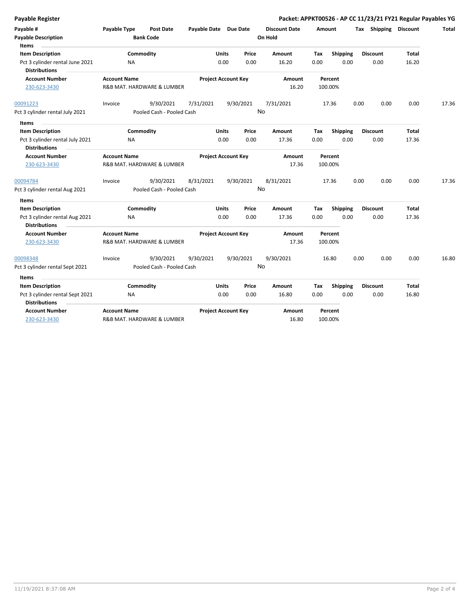| <b>Payable Register</b>                 |                           |                                      |                            |                            |           |                                 |         |                 |      |                       |              | Packet: APPKT00526 - AP CC 11/23/21 FY21 Regular Payables YG |
|-----------------------------------------|---------------------------|--------------------------------------|----------------------------|----------------------------|-----------|---------------------------------|---------|-----------------|------|-----------------------|--------------|--------------------------------------------------------------|
| Payable #<br><b>Payable Description</b> | Payable Type              | <b>Post Date</b><br><b>Bank Code</b> | Payable Date Due Date      |                            |           | <b>Discount Date</b><br>On Hold | Amount  |                 |      | Tax Shipping Discount |              | Total                                                        |
| Items                                   |                           |                                      |                            |                            |           |                                 |         |                 |      |                       |              |                                                              |
| <b>Item Description</b>                 |                           | Commodity                            |                            | <b>Units</b>               | Price     | Amount                          | Tax     | Shipping        |      | <b>Discount</b>       | Total        |                                                              |
| Pct 3 cylinder rental June 2021         | <b>NA</b>                 |                                      |                            | 0.00                       | 0.00      | 16.20                           | 0.00    | 0.00            |      | 0.00                  | 16.20        |                                                              |
| <b>Distributions</b>                    |                           |                                      |                            |                            |           |                                 |         |                 |      |                       |              |                                                              |
| <b>Account Number</b>                   | <b>Account Name</b>       |                                      |                            | <b>Project Account Key</b> |           | Amount                          |         | Percent         |      |                       |              |                                                              |
| 230-623-3430                            |                           | R&B MAT. HARDWARE & LUMBER           |                            |                            |           | 16.20                           |         | 100.00%         |      |                       |              |                                                              |
| 00091223                                | Invoice                   | 9/30/2021                            | 7/31/2021                  |                            | 9/30/2021 | 7/31/2021                       |         | 17.36           | 0.00 | 0.00                  | 0.00         | 17.36                                                        |
| Pct 3 cylinder rental July 2021         | Pooled Cash - Pooled Cash |                                      |                            |                            |           | <b>No</b>                       |         |                 |      |                       |              |                                                              |
| Items                                   |                           |                                      |                            |                            |           |                                 |         |                 |      |                       |              |                                                              |
| <b>Item Description</b>                 |                           | Commodity                            |                            | <b>Units</b>               | Price     | <b>Amount</b>                   | Tax     | <b>Shipping</b> |      | <b>Discount</b>       | <b>Total</b> |                                                              |
| Pct 3 cylinder rental July 2021         | NA                        |                                      |                            | 0.00                       | 0.00      | 17.36                           | 0.00    | 0.00            |      | 0.00                  | 17.36        |                                                              |
| <b>Distributions</b>                    |                           |                                      |                            |                            |           |                                 |         |                 |      |                       |              |                                                              |
| <b>Account Number</b>                   | <b>Account Name</b>       |                                      |                            | <b>Project Account Key</b> |           | Amount                          |         | Percent         |      |                       |              |                                                              |
| 230-623-3430                            |                           | R&B MAT. HARDWARE & LUMBER           |                            |                            |           | 17.36                           |         | 100.00%         |      |                       |              |                                                              |
| 00094784                                | Invoice                   | 9/30/2021                            | 8/31/2021                  |                            | 9/30/2021 | 8/31/2021                       |         | 17.36           | 0.00 | 0.00                  | 0.00         | 17.36                                                        |
| Pct 3 cylinder rental Aug 2021          |                           | Pooled Cash - Pooled Cash            |                            |                            |           | No                              |         |                 |      |                       |              |                                                              |
| Items                                   |                           |                                      |                            |                            |           |                                 |         |                 |      |                       |              |                                                              |
| <b>Item Description</b>                 |                           | Commodity                            |                            | <b>Units</b>               | Price     | Amount                          | Tax     | Shipping        |      | <b>Discount</b>       | <b>Total</b> |                                                              |
| Pct 3 cylinder rental Aug 2021          | <b>NA</b>                 |                                      |                            | 0.00                       | 0.00      | 17.36                           | 0.00    | 0.00            |      | 0.00                  | 17.36        |                                                              |
| <b>Distributions</b>                    |                           |                                      |                            |                            |           |                                 |         |                 |      |                       |              |                                                              |
| <b>Account Number</b>                   | <b>Account Name</b>       |                                      | <b>Project Account Key</b> |                            | Amount    |                                 | Percent |                 |      |                       |              |                                                              |
| 230-623-3430                            |                           | R&B MAT. HARDWARE & LUMBER           |                            |                            |           | 17.36                           |         | 100.00%         |      |                       |              |                                                              |
| 00098348                                | Invoice                   | 9/30/2021                            | 9/30/2021                  |                            | 9/30/2021 | 9/30/2021                       |         | 16.80           | 0.00 | 0.00                  | 0.00         | 16.80                                                        |
| Pct 3 cylinder rental Sept 2021         |                           | Pooled Cash - Pooled Cash            |                            |                            |           | No                              |         |                 |      |                       |              |                                                              |
| <b>Items</b>                            |                           |                                      |                            |                            |           |                                 |         |                 |      |                       |              |                                                              |
| <b>Item Description</b>                 |                           | Commodity                            |                            | <b>Units</b>               | Price     | <b>Amount</b>                   | Tax     | <b>Shipping</b> |      | <b>Discount</b>       | <b>Total</b> |                                                              |
| Pct 3 cylinder rental Sept 2021         | NA                        |                                      |                            | 0.00                       | 0.00      | 16.80                           | 0.00    | 0.00            |      | 0.00                  | 16.80        |                                                              |
| <b>Distributions</b>                    |                           |                                      |                            |                            |           |                                 |         |                 |      |                       |              |                                                              |
| <b>Account Number</b>                   | <b>Account Name</b>       |                                      |                            | <b>Project Account Key</b> |           | Amount                          |         | Percent         |      |                       |              |                                                              |
| 230-623-3430                            |                           | R&B MAT. HARDWARE & LUMBER           |                            |                            |           | 16.80                           |         | 100.00%         |      |                       |              |                                                              |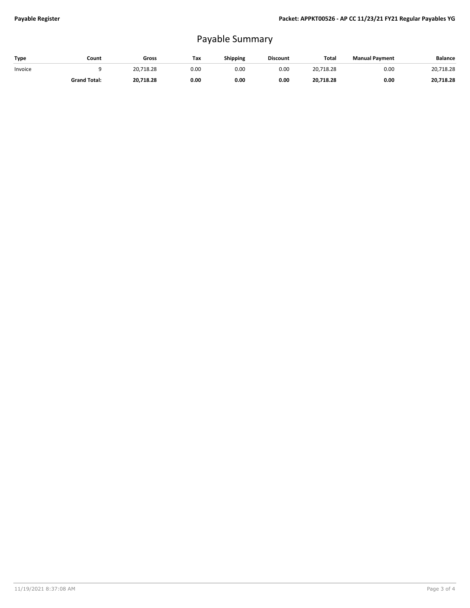## Payable Summary

| Type    | Count               | Gross     | Tax  | Shipping | <b>Discount</b> | Total     | <b>Manual Payment</b> | <b>Balance</b> |
|---------|---------------------|-----------|------|----------|-----------------|-----------|-----------------------|----------------|
| Invoice |                     | 20.718.28 | 0.00 | 0.00     | 0.00            | 20.718.28 | 0.00                  | 20,718.28      |
|         | <b>Grand Total:</b> | 20.718.28 | 0.00 | 0.00     | 0.00            | 20,718.28 | 0.00                  | 20,718.28      |